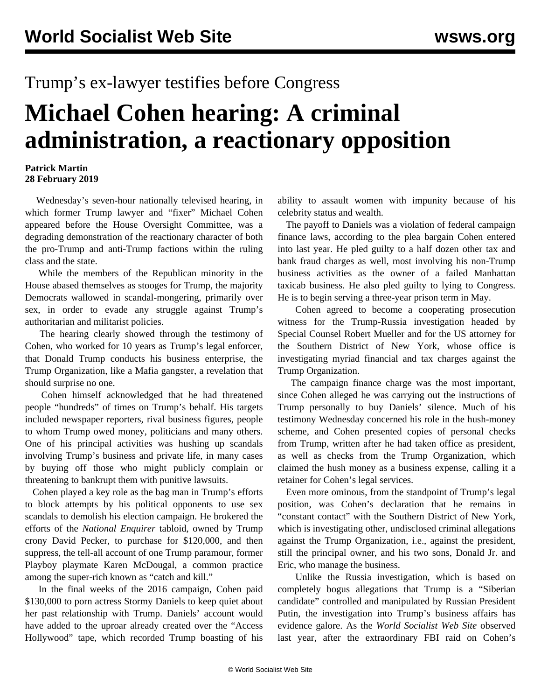## Trump's ex-lawyer testifies before Congress

## **Michael Cohen hearing: A criminal administration, a reactionary opposition**

## **Patrick Martin 28 February 2019**

 Wednesday's seven-hour nationally televised hearing, in which former Trump lawyer and "fixer" Michael Cohen appeared before the House Oversight Committee, was a degrading demonstration of the reactionary character of both the pro-Trump and anti-Trump factions within the ruling class and the state.

 While the members of the Republican minority in the House abased themselves as stooges for Trump, the majority Democrats wallowed in scandal-mongering, primarily over sex, in order to evade any struggle against Trump's authoritarian and militarist policies.

 The hearing clearly showed through the testimony of Cohen, who worked for 10 years as Trump's legal enforcer, that Donald Trump conducts his business enterprise, the Trump Organization, like a Mafia gangster, a revelation that should surprise no one.

 Cohen himself acknowledged that he had threatened people "hundreds" of times on Trump's behalf. His targets included newspaper reporters, rival business figures, people to whom Trump owed money, politicians and many others. One of his principal activities was hushing up scandals involving Trump's business and private life, in many cases by buying off those who might publicly complain or threatening to bankrupt them with punitive lawsuits.

 Cohen played a key role as the bag man in Trump's efforts to block attempts by his political opponents to use sex scandals to demolish his election campaign. He brokered the efforts of the *National Enquirer* tabloid, owned by Trump crony David Pecker, to purchase for \$120,000, and then suppress, the tell-all account of one Trump paramour, former Playboy playmate Karen McDougal, a common practice among the super-rich known as "catch and kill."

 In the final weeks of the 2016 campaign, Cohen paid \$130,000 to porn actress Stormy Daniels to keep quiet about her past relationship with Trump. Daniels' account would have added to the uproar already created over the "Access Hollywood" tape, which recorded Trump boasting of his

ability to assault women with impunity because of his celebrity status and wealth.

 The payoff to Daniels was a violation of federal campaign finance laws, according to the plea bargain Cohen entered into last year. He pled guilty to a half dozen other tax and bank fraud charges as well, most involving his non-Trump business activities as the owner of a failed Manhattan taxicab business. He also pled guilty to lying to Congress. He is to begin serving a three-year prison term in May.

 Cohen agreed to become a cooperating prosecution witness for the Trump-Russia investigation headed by Special Counsel Robert Mueller and for the US attorney for the Southern District of New York, whose office is investigating myriad financial and tax charges against the Trump Organization.

 The campaign finance charge was the most important, since Cohen alleged he was carrying out the instructions of Trump personally to buy Daniels' silence. Much of his testimony Wednesday concerned his role in the hush-money scheme, and Cohen presented copies of personal checks from Trump, written after he had taken office as president, as well as checks from the Trump Organization, which claimed the hush money as a business expense, calling it a retainer for Cohen's legal services.

 Even more ominous, from the standpoint of Trump's legal position, was Cohen's declaration that he remains in "constant contact" with the Southern District of New York, which is investigating other, undisclosed criminal allegations against the Trump Organization, i.e., against the president, still the principal owner, and his two sons, Donald Jr. and Eric, who manage the business.

 Unlike the Russia investigation, which is based on completely bogus allegations that Trump is a "Siberian candidate" controlled and manipulated by Russian President Putin, the investigation into Trump's business affairs has evidence galore. As the *World Socialist Web Site* [observed](/en/articles/2018/04/11/pers-a11.html) last year, after the extraordinary FBI raid on Cohen's